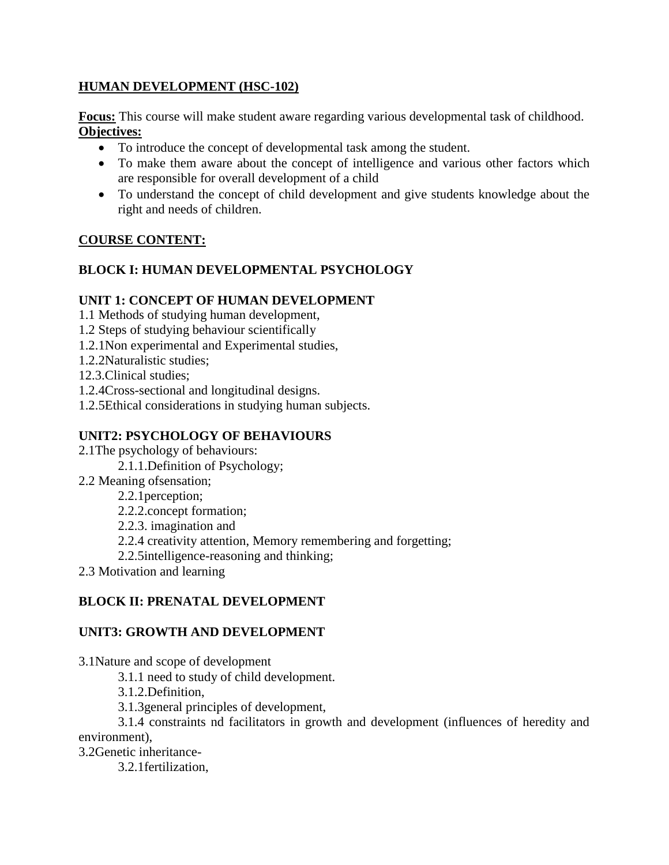### **HUMAN DEVELOPMENT (HSC-102)**

**Focus:** This course will make student aware regarding various developmental task of childhood. **Objectives:**

- To introduce the concept of developmental task among the student.
- To make them aware about the concept of intelligence and various other factors which are responsible for overall development of a child
- To understand the concept of child development and give students knowledge about the right and needs of children.

## **COURSE CONTENT:**

## **BLOCK I: HUMAN DEVELOPMENTAL PSYCHOLOGY**

#### **UNIT 1: CONCEPT OF HUMAN DEVELOPMENT**

1.1 Methods of studying human development,

- 1.2 Steps of studying behaviour scientifically
- 1.2.1Non experimental and Experimental studies,
- 1.2.2Naturalistic studies;
- 12.3.Clinical studies;
- 1.2.4Cross-sectional and longitudinal designs.
- 1.2.5Ethical considerations in studying human subjects.

## **UNIT2: PSYCHOLOGY OF BEHAVIOURS**

- 2.1The psychology of behaviours:
	- 2.1.1.Definition of Psychology;
- 2.2 Meaning ofsensation;
	- 2.2.1perception;
	- 2.2.2.concept formation;
	- 2.2.3. imagination and
	- 2.2.4 creativity attention, Memory remembering and forgetting;
	- 2.2.5intelligence-reasoning and thinking;
- 2.3 Motivation and learning

#### **BLOCK II: PRENATAL DEVELOPMENT**

#### **UNIT3: GROWTH AND DEVELOPMENT**

3.1Nature and scope of development

3.1.1 need to study of child development.

3.1.2.Definition,

3.1.3general principles of development,

3.1.4 constraints nd facilitators in growth and development (influences of heredity and environment),

3.2Genetic inheritance-

3.2.1fertilization,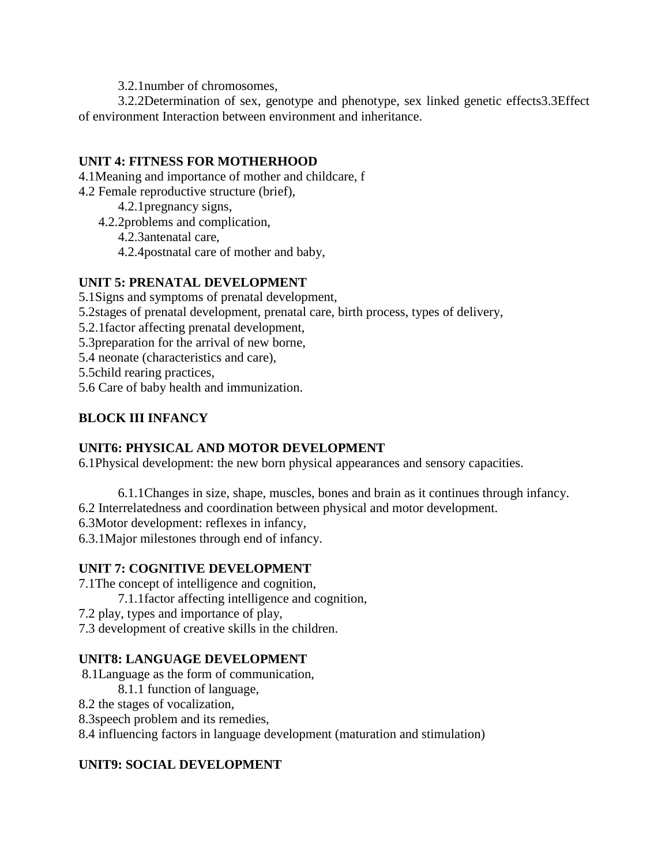3.2.1number of chromosomes,

3.2.2Determination of sex, genotype and phenotype, sex linked genetic effects3.3Effect of environment Interaction between environment and inheritance.

### **UNIT 4: FITNESS FOR MOTHERHOOD**

4.1Meaning and importance of mother and childcare, f

- 4.2 Female reproductive structure (brief),
	- 4.2.1pregnancy signs,
	- 4.2.2problems and complication,
		- 4.2.3antenatal care,
		- 4.2.4postnatal care of mother and baby,

## **UNIT 5: PRENATAL DEVELOPMENT**

- 5.1Signs and symptoms of prenatal development,
- 5.2stages of prenatal development, prenatal care, birth process, types of delivery,
- 5.2.1factor affecting prenatal development,
- 5.3preparation for the arrival of new borne,
- 5.4 neonate (characteristics and care),

5.5child rearing practices,

5.6 Care of baby health and immunization.

# **BLOCK III INFANCY**

## **UNIT6: PHYSICAL AND MOTOR DEVELOPMENT**

6.1Physical development: the new born physical appearances and sensory capacities.

- 6.1.1Changes in size, shape, muscles, bones and brain as it continues through infancy.
- 6.2 Interrelatedness and coordination between physical and motor development.
- 6.3Motor development: reflexes in infancy,

6.3.1Major milestones through end of infancy.

## **UNIT 7: COGNITIVE DEVELOPMENT**

- 7.1The concept of intelligence and cognition,
	- 7.1.1factor affecting intelligence and cognition,
- 7.2 play, types and importance of play,
- 7.3 development of creative skills in the children.

## **UNIT8: LANGUAGE DEVELOPMENT**

- 8.1Language as the form of communication,
	- 8.1.1 function of language,
- 8.2 the stages of vocalization,
- 8.3speech problem and its remedies,

8.4 influencing factors in language development (maturation and stimulation)

## **UNIT9: SOCIAL DEVELOPMENT**